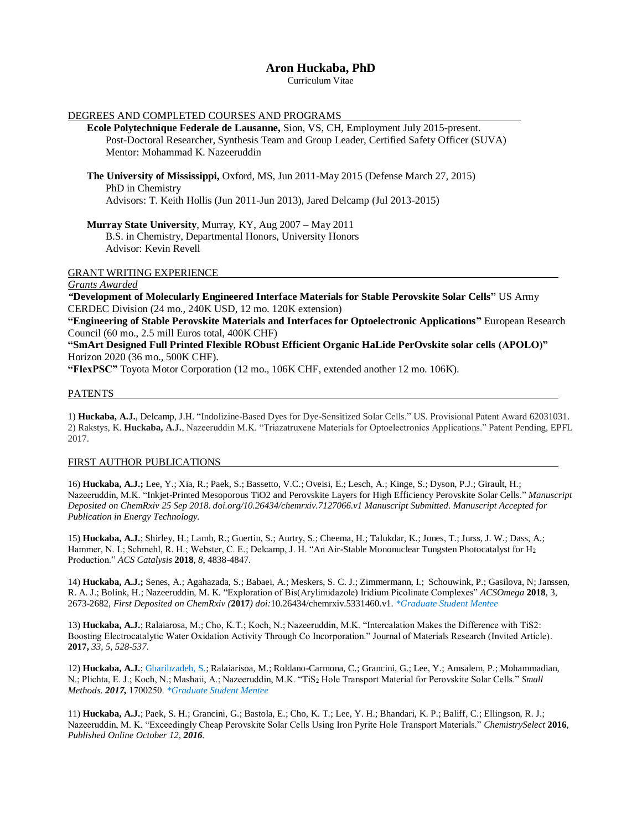# **Aron Huckaba, PhD**

Curriculum Vitae

| DEGREES AND COMPLETED COURSES AND PROGRAMS                                                                                            |  |
|---------------------------------------------------------------------------------------------------------------------------------------|--|
| Ecole Polytechnique Federale de Lausanne, Sion, VS, CH, Employment July 2015-present.                                                 |  |
| Post-Doctoral Researcher, Synthesis Team and Group Leader, Certified Safety Officer (SUVA)                                            |  |
| Mentor: Mohammad K. Nazeeruddin                                                                                                       |  |
|                                                                                                                                       |  |
| The University of Mississippi, Oxford, MS, Jun 2011-May 2015 (Defense March 27, 2015)                                                 |  |
| PhD in Chemistry                                                                                                                      |  |
| Advisors: T. Keith Hollis (Jun 2011-Jun 2013), Jared Delcamp (Jul 2013-2015)                                                          |  |
| <b>Murray State University, Murray, KY, Aug 2007 – May 2011</b>                                                                       |  |
| B.S. in Chemistry, Departmental Honors, University Honors                                                                             |  |
| Advisor: Kevin Revell                                                                                                                 |  |
|                                                                                                                                       |  |
| <b>GRANT WRITING EXPERIENCE</b>                                                                                                       |  |
| Grants Awarded                                                                                                                        |  |
| "Development of Molecularly Engineered Interface Materials for Stable Perovskite Solar Cells" US Army                                 |  |
| CERDEC Division (24 mo., 240K USD, 12 mo. 120K extension)                                                                             |  |
| "Engineering of Stable Perovskite Materials and Interfaces for Optoelectronic Applications" European Research                         |  |
| Council (60 mo., 2.5 mill Euros total, 400K CHF)                                                                                      |  |
| "SmArt Designed Full Printed Flexible RObust Efficient Organic HaLide PerOvskite solar cells (APOLO)"                                 |  |
| Horizon 2020 (36 mo., 500K CHF).                                                                                                      |  |
| $\langle \text{FLayDG} \cap \mathcal{P} \rangle$ Toyota Motor Corporation (12 mo $\sim 106V$ CUE extended enother 12 mo $\sim 106V$ ) |  |

**"FlexPSC"** Toyota Motor Corporation (12 mo., 106K CHF, extended another 12 mo. 106K).

### PATENTS

1) **Huckaba, A.J.**, Delcamp, J.H. "Indolizine-Based Dyes for Dye-Sensitized Solar Cells." US. Provisional Patent Award 62031031. 2) Rakstys, K. **Huckaba, A.J.**, Nazeeruddin M.K. "Triazatruxene Materials for Optoelectronics Applications." Patent Pending, EPFL 2017.

#### FIRST AUTHOR PUBLICATIONS

16) **Huckaba, A.J.;** Lee, Y.; Xia, R.; Paek, S.; Bassetto, V.C.; Oveisi, E.; Lesch, A.; Kinge, S.; Dyson, P.J.; Girault, H.; Nazeeruddin, M.K. "Inkjet-Printed Mesoporous TiO2 and Perovskite Layers for High Efficiency Perovskite Solar Cells." *Manuscript Deposited on ChemRxiv 25 Sep 2018. doi.org/10.26434/chemrxiv.7127066.v1 Manuscript Submitted. Manuscript Accepted for Publication in Energy Technology.*

15) **Huckaba, A.J.**; Shirley, H.; Lamb, R.; Guertin, S.; Aurtry, S.; Cheema, H.; Talukdar, K.; Jones, T.; Jurss, J. W.; Dass, A.; Hammer, N. I.; Schmehl, R. H.; Webster, C. E.; Delcamp, J. H. "An Air-Stable Mononuclear Tungsten Photocatalyst for H<sub>2</sub> Production." *ACS Catalysis* **2018**, *8*, 4838-4847.

14) **Huckaba, A.J.;** Senes, A.; Agahazada, S.; Babaei, A.; Meskers, S. C. J.; Zimmermann, I.; Schouwink, P.; Gasilova, N; Janssen, R. A. J.; Bolink, H.; Nazeeruddin, M. K. "Exploration of Bis(Arylimidazole) Iridium Picolinate Complexes" *ACSOmega* **2018**, 3, 2673-2682*, First Deposited on ChemRxiv (***2017***) doi:*10.26434/chemrxiv.5331460.v1. *\*Graduate Student Mentee*

13) **Huckaba, A.J.**; Ralaiarosa, M.; Cho, K.T.; Koch, N.; Nazeeruddin, M.K. "Intercalation Makes the Difference with TiS2: Boosting Electrocatalytic Water Oxidation Activity Through Co Incorporation." Journal of Materials Research (Invited Article). **2017,** *33, 5, 528-537*.

12) **Huckaba, A.J.**; Gharibzadeh, S.; Ralaiarisoa, M.; Roldano-Carmona, C.; Grancini, G.; Lee, Y.; Amsalem, P.; Mohammadian, N.; Plichta, E. J.; Koch, N.; Mashaii, A.; Nazeeruddin, M.K. "TiS<sup>2</sup> Hole Transport Material for Perovskite Solar Cells." *Small Methods. 2017,* 1700250. *\*Graduate Student Mentee*

11) **Huckaba, A.J.**; Paek, S. H.; Grancini, G.; Bastola, E.; Cho, K. T.; Lee, Y. H.; Bhandari, K. P.; Baliff, C.; Ellingson, R. J.; Nazeeruddin, M. K. "Exceedingly Cheap Perovskite Solar Cells Using Iron Pyrite Hole Transport Materials." *ChemistrySelect* **2016**, *Published Online October 12, 2016.*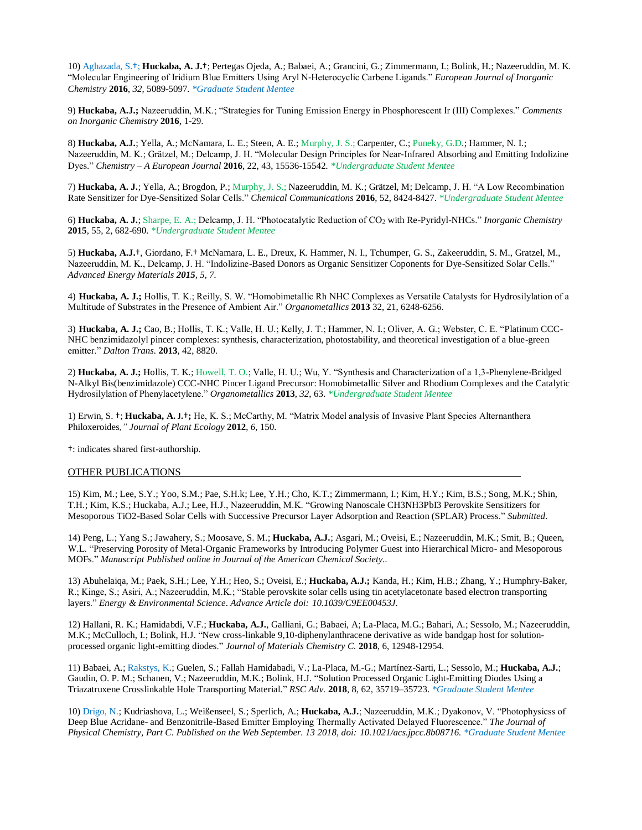10) Aghazada, S.†; **Huckaba, A. J.**†; Pertegas Ojeda, A.; Babaei, A.; Grancini, G.; Zimmermann, I.; Bolink, H.; Nazeeruddin, M. K. "Molecular Engineering of Iridium Blue Emitters Using Aryl N‐Heterocyclic Carbene Ligands." *European Journal of Inorganic Chemistry* **2016**, *32,* 5089-5097*. \*Graduate Student Mentee*

9) **Huckaba, A.J.;** Nazeeruddin, M.K.; "Strategies for Tuning Emission Energy in Phosphorescent Ir (III) Complexes." *Comments on Inorganic Chemistry* **2016**, 1-29.

8) **Huckaba, A.J.**; Yella, A.; McNamara, L. E.; Steen, A. E.; Murphy, J. S.; Carpenter, C.; Puneky, G.D.; Hammer, N. I.; Nazeeruddin, M. K.; Grätzel, M.; Delcamp, J. H. "Molecular Design Principles for Near‐Infrared Absorbing and Emitting Indolizine Dyes." *Chemistry – A European Journal* **2016**, 22, 43, 15536-15542*. \*Undergraduate Student Mentee*

7) **Huckaba, A. J.**; Yella, A.; Brogdon, P.; Murphy, J. S.; Nazeeruddin, M. K.; Grätzel, M; Delcamp, J. H. "A Low Recombination Rate Sensitizer for Dye-Sensitized Solar Cells." *Chemical Communications* **2016**, 52, 8424-8427. *\*Undergraduate Student Mentee*

6) **Huckaba, A. J.**; Sharpe, E. A.; Delcamp, J. H. "Photocatalytic Reduction of CO<sup>2</sup> with Re-Pyridyl-NHCs." *Inorganic Chemistry*  **2015**, 55, 2, 682-690. *\*Undergraduate Student Mentee*

5) **Huckaba, A.J.**†, Giordano, F.† McNamara, L. E., Dreux, K. Hammer, N. I., Tchumper, G. S., Zakeeruddin, S. M., Gratzel, M., Nazeeruddin, M. K., Delcamp, J. H. "Indolizine-Based Donors as Organic Sensitizer Coponents for Dye-Sensitized Solar Cells." *Advanced Energy Materials 2015, 5, 7.*

4) **Huckaba, A. J.;** Hollis, T. K.; Reilly, S. W. "Homobimetallic Rh NHC Complexes as Versatile Catalysts for Hydrosilylation of a Multitude of Substrates in the Presence of Ambient Air." *Organometallics* **2013** 32, 21, 6248-6256.

3) **Huckaba, A. J.;** Cao, B.; Hollis, T. K.; Valle, H. U.; Kelly, J. T.; Hammer, N. I.; Oliver, A. G.; Webster, C. E. "Platinum CCC-NHC benzimidazolyl pincer complexes: synthesis, characterization, photostability, and theoretical investigation of a blue-green emitter." *Dalton Trans.* **2013**, 42, 8820.

2) **Huckaba, A. J.;** Hollis, T. K.; Howell, T. O.; Valle, H. U.; Wu, Y. "Synthesis and Characterization of a 1,3-Phenylene-Bridged N-Alkyl Bis(benzimidazole) CCC-NHC Pincer Ligand Precursor: Homobimetallic Silver and Rhodium Complexes and the Catalytic Hydrosilylation of Phenylacetylene." *Organometallics* **2013**, *32*, 63. *\*Undergraduate Student Mentee*

1) Erwin, S. †; **Huckaba, A. J.**†**;** He, K. S.; McCarthy, M. "Matrix Model analysis of Invasive Plant Species Alternanthera Philoxeroides*," Journal of Plant Ecology* **2012**, *6*, 150.

†: indicates shared first-authorship.

#### OTHER PUBLICATIONS

15) Kim, M.; Lee, S.Y.; Yoo, S.M.; Pae, S.H.k; Lee, Y.H.; Cho, K.T.; Zimmermann, I.; Kim, H.Y.; Kim, B.S.; Song, M.K.; Shin, T.H.; Kim, K.S.; Huckaba, A.J.; Lee, H.J., Nazeeruddin, M.K. "Growing Nanoscale CH3NH3PbI3 Perovskite Sensitizers for Mesoporous TiO2-Based Solar Cells with Successive Precursor Layer Adsorption and Reaction (SPLAR) Process." *Submitted.*

14) Peng, L.; Yang S.; Jawahery, S.; Moosave, S. M.; **Huckaba, A.J.**; Asgari, M.; Oveisi, E.; Nazeeruddin, M.K.; Smit, B.; Queen, W.L. "Preserving Porosity of Metal-Organic Frameworks by Introducing Polymer Guest into Hierarchical Micro- and Mesoporous MOFs." *Manuscript Published online in Journal of the American Chemical Society..* 

13) Abuhelaiqa, M.; Paek, S.H.; Lee, Y.H.; Heo, S.; Oveisi, E.; **Huckaba, A.J.;** Kanda, H.; Kim, H.B.; Zhang, Y.; Humphry-Baker, R.; Kinge, S.; Asiri, A.; Nazeeruddin, M.K.; "Stable perovskite solar cells using tin acetylacetonate based electron transporting layers." *Energy & Environmental Science*. *Advance Article doi: 10.1039/C9EE00453J.*

12) Hallani, R. K.; Hamidabdi, V.F.; **Huckaba, A.J.**, Galliani, G.; Babaei, A; La-Placa, M.G.; Bahari, A.; Sessolo, M.; Nazeeruddin, M.K.; McCulloch, I.; Bolink, H.J. "New cross-linkable 9,10-diphenylanthracene derivative as wide bandgap host for solutionprocessed organic light-emitting diodes." *Journal of Materials Chemistry C.* **2018**, 6, 12948-12954.

11) Babaei, A.; Rakstys, K.; Guelen, S.; Fallah Hamidabadi, V.; La-Placa, M.-G.; Martínez-Sarti, L.; Sessolo, M.; **Huckaba, A.J.**; Gaudin, O. P. M.; Schanen, V.; Nazeeruddin, M.K.; Bolink, H.J. "Solution Processed Organic Light-Emitting Diodes Using a Triazatruxene Crosslinkable Hole Transporting Material." *RSC Adv.* **2018**, 8, 62, 35719–35723. *\*Graduate Student Mentee*

10) Drigo, N.; Kudriashova, L.; Weißenseel, S.; Sperlich, A.; **Huckaba, A.J.**; Nazeeruddin, M.K.; Dyakonov, V. "Photophysicss of Deep Blue Acridane- and Benzonitrile-Based Emitter Employing Thermally Activated Delayed Fluorescence." *The Journal of Physical Chemistry, Part C*. *Published on the Web September. 13 2018, doi: 10.1021/acs.jpcc.8b08716. \*Graduate Student Mentee*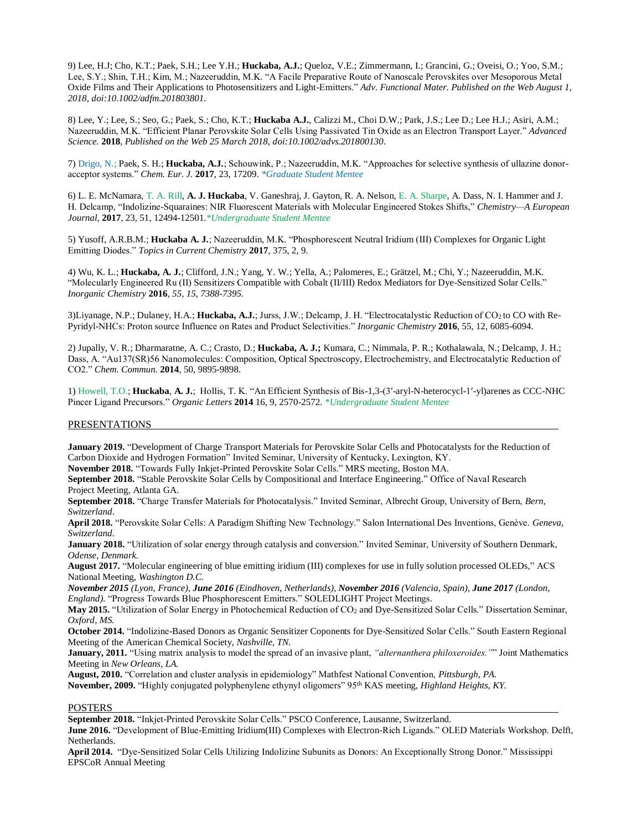9) Lee, H.J; Cho, K.T.; Paek, S.H.; Lee Y.H.; **Huckaba, A.J.**; Queloz, V.E.; Zimmermann, I.; Grancini, G.; Oveisi, O.; Yoo, S.M.; Lee, S.Y.; Shin, T.H.; Kim, M.; Nazeeruddin, M.K. "A Facile Preparative Route of Nanoscale Perovskites over Mesoporous Metal Oxide Films and Their Applications to Photosensitizers and Light-Emitters." *Adv. Functional Mater. Published on the Web August 1, 2018, doi:10.1002/adfm.201803801.*

8) Lee, Y.; Lee, S.; Seo, G.; Paek, S.; Cho, K.T.; **Huckaba A.J.**, Calizzi M., Choi D.W.; Park, J.S.; Lee D.; Lee H.J.; Asiri, A.M.; Nazeeruddin, M.K. "Efficient Planar Perovskite Solar Cells Using Passivated Tin Oxide as an Electron Transport Layer." *Advanced Science.* **2018**, *Published on the Web 25 March 2018*, *doi:10.1002/advs.201800130*.

7) Drigo, N.; Paek, S. H.; **Huckaba, A.J.**; Schouwink, P.; Nazeeruddin, M.K. "Approaches for selective synthesis of ullazine donoracceptor systems." *Chem. Eur. J.* **2017**, 23, 17209. *\*Graduate Student Mentee*

6) L. E. McNamara, T. A. Rill, **A. J. Huckaba**, V. Ganeshraj, J. Gayton, R. A. Nelson, E. A. Sharpe, A. Dass, N. I. Hammer and J. H. Delcamp, "Indolizine-Squaraines: NIR Fluorescent Materials with Molecular Engineered Stokes Shifts," *Chemistry—A European Journal,* **2017**, 23, 51, 12494-12501*.\*Undergraduate Student Mentee*

5) Yusoff, A.R.B.M.; **Huckaba A. J.**; Nazeeruddin, M.K. "Phosphorescent Neutral Iridium (III) Complexes for Organic Light Emitting Diodes." *Topics in Current Chemistry* **2017**, 375, 2, 9.

4) Wu, K. L.; **Huckaba, A. J.**; Clifford, J.N.; Yang, Y. W.; Yella, A.; Palomeres, E.; Grätzel, M.; Chi, Y.; Nazeeruddin, M.K. "Molecularly Engineered Ru (II) Sensitizers Compatible with Cobalt (II/III) Redox Mediators for Dye-Sensitized Solar Cells." *Inorganic Chemistry* **2016***, 55, 15, 7388-7395.*

3)Liyanage, N.P.; Dulaney, H.A.; **Huckaba, A.J.**; Jurss, J.W.; Delcamp, J. H. "Electrocatalystic Reduction of CO2 to CO with Re-Pyridyl-NHCs: Proton source Influence on Rates and Product Selectivities." *Inorganic Chemistry* **2016**, 55, 12, 6085-6094.

2) Jupally, V. R.; Dharmaratne, A. C.; Crasto, D.; **Huckaba, A. J.;** Kumara, C.; Nimmala, P. R.; Kothalawala, N.; Delcamp, J. H.; Dass, A. "Au137(SR)56 Nanomolecules: Composition, Optical Spectroscopy, Electrochemistry, and Electrocatalytic Reduction of CO2." *Chem. Commun.* **2014**, 50, 9895-9898.

1) Howell, T.O.; **Huckaba**, **A. J.**; Hollis, T. K. "An Efficient Synthesis of Bis-1,3-(3′-aryl-N-heterocycl-1′-yl)arenes as CCC-NHC Pincer Ligand Precursors." *Organic Letters* **2014** 16, 9, 2570-2572. *\*Undergraduate Student Mentee*

## PRESENTATIONS

**January 2019.** "Development of Charge Transport Materials for Perovskite Solar Cells and Photocatalysts for the Reduction of Carbon Dioxide and Hydrogen Formation" Invited Seminar, University of Kentucky, Lexington, KY.

**November 2018.** "Towards Fully Inkjet-Printed Perovskite Solar Cells." MRS meeting, Boston MA.

**September 2018.** "Stable Perovskite Solar Cells by Compositional and Interface Engineering." Office of Naval Research Project Meeting, Atlanta GA.

**September 2018.** "Charge Transfer Materials for Photocatalysis." Invited Seminar, Albrecht Group, University of Bern, *Bern, Switzerland*.

**April 2018.** "Perovskite Solar Cells: A Paradigm Shifting New Technology." Salon International Des Inventions, Genève. *Geneva, Switzerland.*

**January 2018.** "Utilization of solar energy through catalysis and conversion." Invited Seminar, University of Southern Denmark, *Odense, Denmark.*

**August 2017.** "Molecular engineering of blue emitting iridium (III) complexes for use in fully solution processed OLEDs," ACS National Meeting, *Washington D.C.*

*November 2015 (Lyon, France), June 2016 (Eindhoven, Netherlands), November 2016 (Valencia, Spain), June 2017 (London, England).* "Progress Towards Blue Phosphorescent Emitters." SOLEDLIGHT Project Meetings.

**May 2015.** "Utilization of Solar Energy in Photochemical Reduction of CO<sup>2</sup> and Dye-Sensitized Solar Cells." Dissertation Seminar, *Oxford, MS.*

**October 2014.** "Indolizine-Based Donors as Organic Sensitizer Coponents for Dye-Sensitized Solar Cells." South Eastern Regional Meeting of the American Chemical Society, *Nashville, TN.*

**January, 2011.** "Using matrix analysis to model the spread of an invasive plant, *"alternanthera philoxeroides."*" Joint Mathematics Meeting in *New Orleans, LA.*

**August, 2010.** "Correlation and cluster analysis in epidemiology" Mathfest National Convention, *Pittsburgh, PA.*

**November, 2009.** "Highly conjugated polyphenylene ethynyl oligomers" 95th KAS meeting, *Highland Heights, KY.*

### POSTERS

**September 2018.** "Inkjet-Printed Perovskite Solar Cells." PSCO Conference, Lausanne, Switzerland.

**June 2016.** "Development of Blue-Emitting Iridium(III) Complexes with Electron-Rich Ligands." OLED Materials Workshop. Delft, Netherlands.

**April 2014.** "Dye-Sensitized Solar Cells Utilizing Indolizine Subunits as Donors: An Exceptionally Strong Donor." Mississippi EPSCoR Annual Meeting